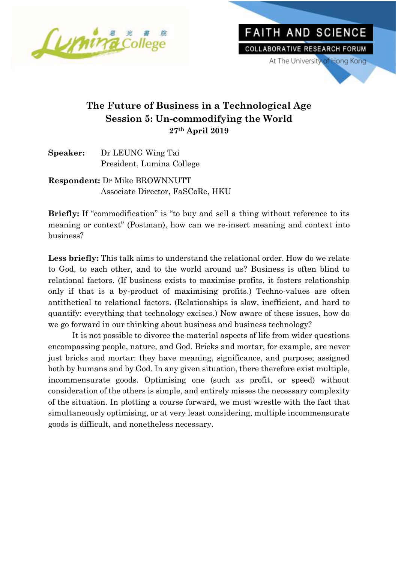



## **The Future of Business in a Technological Age Session 5: Un-commodifying the World 27th April 2019**

| Speaker: | Dr LEUNG Wing Tai         |
|----------|---------------------------|
|          | President, Lumina College |

**Respondent:** Dr Mike BROWNNUTT Associate Director, FaSCoRe, HKU

**Briefly:** If "commodification" is "to buy and sell a thing without reference to its meaning or context" (Postman), how can we re-insert meaning and context into business?

**Less briefly:** This talk aims to understand the relational order. How do we relate to God, to each other, and to the world around us? Business is often blind to relational factors. (If business exists to maximise profits, it fosters relationship only if that is a by-product of maximising profits.) Techno-values are often antithetical to relational factors. (Relationships is slow, inefficient, and hard to quantify: everything that technology excises.) Now aware of these issues, how do we go forward in our thinking about business and business technology?

It is not possible to divorce the material aspects of life from wider questions encompassing people, nature, and God. Bricks and mortar, for example, are never just bricks and mortar: they have meaning, significance, and purpose; assigned both by humans and by God. In any given situation, there therefore exist multiple, incommensurate goods. Optimising one (such as profit, or speed) without consideration of the others is simple, and entirely misses the necessary complexity of the situation. In plotting a course forward, we must wrestle with the fact that simultaneously optimising, or at very least considering, multiple incommensurate goods is difficult, and nonetheless necessary.